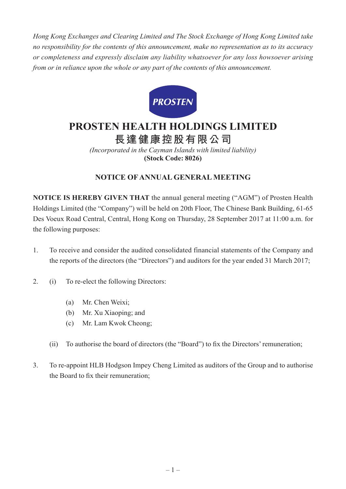*Hong Kong Exchanges and Clearing Limited and The Stock Exchange of Hong Kong Limited take no responsibility for the contents of this announcement, make no representation as to its accuracy or completeness and expressly disclaim any liability whatsoever for any loss howsoever arising from or in reliance upon the whole or any part of the contents of this announcement.*



# **PROSTEN HEALTH HOLDINGS LIMITED 長達健康控股有限公司**

*(Incorporated in the Cayman Islands with limited liability)*

**(Stock Code: 8026)**

# **NOTICE OF ANNUAL GENERAL MEETING**

**NOTICE IS HEREBY GIVEN THAT** the annual general meeting ("AGM") of Prosten Health Holdings Limited (the "Company") will be held on 20th Floor, The Chinese Bank Building, 61-65 Des Voeux Road Central, Central, Hong Kong on Thursday, 28 September 2017 at 11:00 a.m. for the following purposes:

- 1. To receive and consider the audited consolidated financial statements of the Company and the reports of the directors (the "Directors") and auditors for the year ended 31 March 2017;
- 2. (i) To re-elect the following Directors:
	- (a) Mr. Chen Weixi;
	- (b) Mr. Xu Xiaoping; and
	- (c) Mr. Lam Kwok Cheong;
	- (ii) To authorise the board of directors (the "Board") to fix the Directors'remuneration;
- 3. To re-appoint HLB Hodgson Impey Cheng Limited as auditors of the Group and to authorise the Board to fix their remuneration;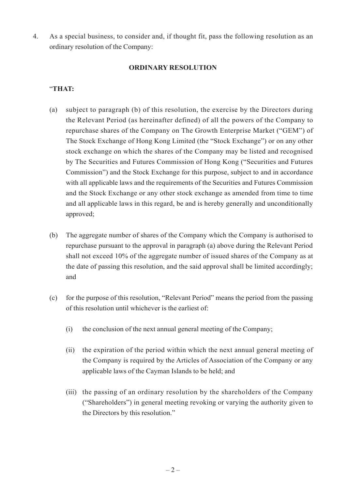4. As a special business, to consider and, if thought fit, pass the following resolution as an ordinary resolution of the Company:

#### **ORDINARY RESOLUTION**

## "**THAT:**

- (a) subject to paragraph (b) of this resolution, the exercise by the Directors during the Relevant Period (as hereinafter defined) of all the powers of the Company to repurchase shares of the Company on The Growth Enterprise Market ("GEM") of The Stock Exchange of Hong Kong Limited (the "Stock Exchange") or on any other stock exchange on which the shares of the Company may be listed and recognised by The Securities and Futures Commission of Hong Kong ("Securities and Futures Commission") and the Stock Exchange for this purpose, subject to and in accordance with all applicable laws and the requirements of the Securities and Futures Commission and the Stock Exchange or any other stock exchange as amended from time to time and all applicable laws in this regard, be and is hereby generally and unconditionally approved;
- (b) The aggregate number of shares of the Company which the Company is authorised to repurchase pursuant to the approval in paragraph (a) above during the Relevant Period shall not exceed 10% of the aggregate number of issued shares of the Company as at the date of passing this resolution, and the said approval shall be limited accordingly; and
- (c) for the purpose of this resolution, "Relevant Period" means the period from the passing of this resolution until whichever is the earliest of:
	- (i) the conclusion of the next annual general meeting of the Company;
	- (ii) the expiration of the period within which the next annual general meeting of the Company is required by the Articles of Association of the Company or any applicable laws of the Cayman Islands to be held; and
	- (iii) the passing of an ordinary resolution by the shareholders of the Company ("Shareholders") in general meeting revoking or varying the authority given to the Directors by this resolution."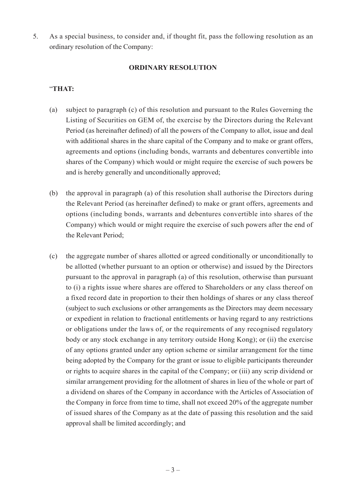5. As a special business, to consider and, if thought fit, pass the following resolution as an ordinary resolution of the Company:

#### **ORDINARY RESOLUTION**

### "**THAT:**

- (a) subject to paragraph (c) of this resolution and pursuant to the Rules Governing the Listing of Securities on GEM of, the exercise by the Directors during the Relevant Period (as hereinafter defined) of all the powers of the Company to allot, issue and deal with additional shares in the share capital of the Company and to make or grant offers, agreements and options (including bonds, warrants and debentures convertible into shares of the Company) which would or might require the exercise of such powers be and is hereby generally and unconditionally approved;
- (b) the approval in paragraph (a) of this resolution shall authorise the Directors during the Relevant Period (as hereinafter defined) to make or grant offers, agreements and options (including bonds, warrants and debentures convertible into shares of the Company) which would or might require the exercise of such powers after the end of the Relevant Period;
- (c) the aggregate number of shares allotted or agreed conditionally or unconditionally to be allotted (whether pursuant to an option or otherwise) and issued by the Directors pursuant to the approval in paragraph (a) of this resolution, otherwise than pursuant to (i) a rights issue where shares are offered to Shareholders or any class thereof on a fixed record date in proportion to their then holdings of shares or any class thereof (subject to such exclusions or other arrangements as the Directors may deem necessary or expedient in relation to fractional entitlements or having regard to any restrictions or obligations under the laws of, or the requirements of any recognised regulatory body or any stock exchange in any territory outside Hong Kong); or (ii) the exercise of any options granted under any option scheme or similar arrangement for the time being adopted by the Company for the grant or issue to eligible participants thereunder or rights to acquire shares in the capital of the Company; or (iii) any scrip dividend or similar arrangement providing for the allotment of shares in lieu of the whole or part of a dividend on shares of the Company in accordance with the Articles of Association of the Company in force from time to time, shall not exceed 20% of the aggregate number of issued shares of the Company as at the date of passing this resolution and the said approval shall be limited accordingly; and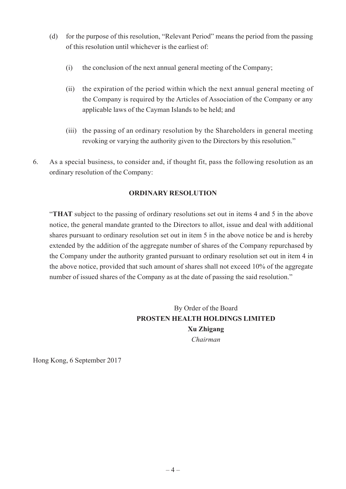- (d) for the purpose of this resolution, "Relevant Period" means the period from the passing of this resolution until whichever is the earliest of:
	- (i) the conclusion of the next annual general meeting of the Company;
	- (ii) the expiration of the period within which the next annual general meeting of the Company is required by the Articles of Association of the Company or any applicable laws of the Cayman Islands to be held; and
	- (iii) the passing of an ordinary resolution by the Shareholders in general meeting revoking or varying the authority given to the Directors by this resolution."
- 6. As a special business, to consider and, if thought fit, pass the following resolution as an ordinary resolution of the Company:

## **ORDINARY RESOLUTION**

"**THAT** subject to the passing of ordinary resolutions set out in items 4 and 5 in the above notice, the general mandate granted to the Directors to allot, issue and deal with additional shares pursuant to ordinary resolution set out in item 5 in the above notice be and is hereby extended by the addition of the aggregate number of shares of the Company repurchased by the Company under the authority granted pursuant to ordinary resolution set out in item 4 in the above notice, provided that such amount of shares shall not exceed 10% of the aggregate number of issued shares of the Company as at the date of passing the said resolution."

# By Order of the Board **PROSTEN HEALTH HOLDINGS LIMITED Xu Zhigang** *Chairman*

Hong Kong, 6 September 2017